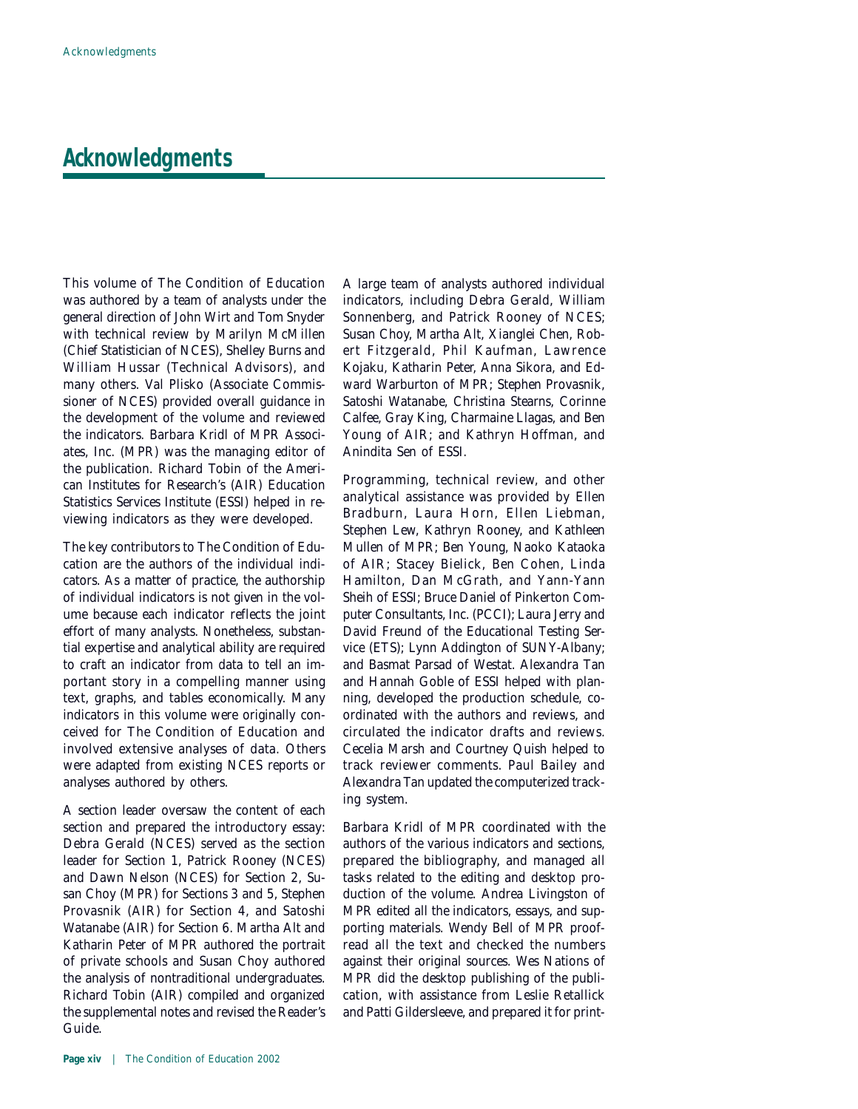## **Acknowledgments**

This volume of *The Condition of Education* was authored by a team of analysts under the general direction of John Wirt and Tom Snyder with technical review by Marilyn McMillen (Chief Statistician of NCES), Shelley Burns and William Hussar (Technical Advisors), and many others. Val Plisko (Associate Commissioner of NCES) provided overall guidance in the development of the volume and reviewed the indicators. Barbara Kridl of MPR Associates, Inc. (MPR) was the managing editor of the publication. Richard Tobin of the American Institutes for Research's (AIR) Education Statistics Services Institute (ESSI) helped in reviewing indicators as they were developed.

The key contributors to *The Condition of Education* are the authors of the individual indicators. As a matter of practice, the authorship of individual indicators is not given in the volume because each indicator reflects the joint effort of many analysts. Nonetheless, substantial expertise and analytical ability are required to craft an indicator from data to tell an important story in a compelling manner using text, graphs, and tables economically. Many indicators in this volume were originally conceived for *The Condition of Education* and involved extensive analyses of data. Others were adapted from existing NCES reports or analyses authored by others.

A section leader oversaw the content of each section and prepared the introductory essay: Debra Gerald (NCES) served as the section leader for Section 1, Patrick Rooney (NCES) and Dawn Nelson (NCES) for Section 2, Susan Choy (MPR) for Sections 3 and 5, Stephen Provasnik (AIR) for Section 4, and Satoshi Watanabe (AIR) for Section 6. Martha Alt and Katharin Peter of MPR authored the portrait of private schools and Susan Choy authored the analysis of nontraditional undergraduates. Richard Tobin (AIR) compiled and organized the supplemental notes and revised the Reader's Guide.

A large team of analysts authored individual indicators, including Debra Gerald, William Sonnenberg, and Patrick Rooney of NCES; Susan Choy, Martha Alt, Xianglei Chen, Robert Fitzgerald, Phil Kaufman, Lawrence Kojaku, Katharin Peter, Anna Sikora, and Edward Warburton of MPR; Stephen Provasnik, Satoshi Watanabe, Christina Stearns, Corinne Calfee, Gray King, Charmaine Llagas, and Ben Young of AIR; and Kathryn Hoffman, and Anindita Sen of ESSI.

Programming, technical review, and other analytical assistance was provided by Ellen Bradburn, Laura Horn, Ellen Liebman, Stephen Lew, Kathryn Rooney, and Kathleen Mullen of MPR; Ben Young, Naoko Kataoka of AIR; Stacey Bielick, Ben Cohen, Linda Hamilton, Dan McGrath, and Yann-Yann Sheih of ESSI; Bruce Daniel of Pinkerton Computer Consultants, Inc. (PCCI); Laura Jerry and David Freund of the Educational Testing Service (ETS); Lynn Addington of SUNY-Albany; and Basmat Parsad of Westat. Alexandra Tan and Hannah Goble of ESSI helped with planning, developed the production schedule, coordinated with the authors and reviews, and circulated the indicator drafts and reviews. Cecelia Marsh and Courtney Quish helped to track reviewer comments. Paul Bailey and Alexandra Tan updated the computerized tracking system.

Barbara Kridl of MPR coordinated with the authors of the various indicators and sections, prepared the bibliography, and managed all tasks related to the editing and desktop production of the volume. Andrea Livingston of MPR edited all the indicators, essays, and supporting materials. Wendy Bell of MPR proofread all the text and checked the numbers against their original sources. Wes Nations of MPR did the desktop publishing of the publication, with assistance from Leslie Retallick and Patti Gildersleeve, and prepared it for print-